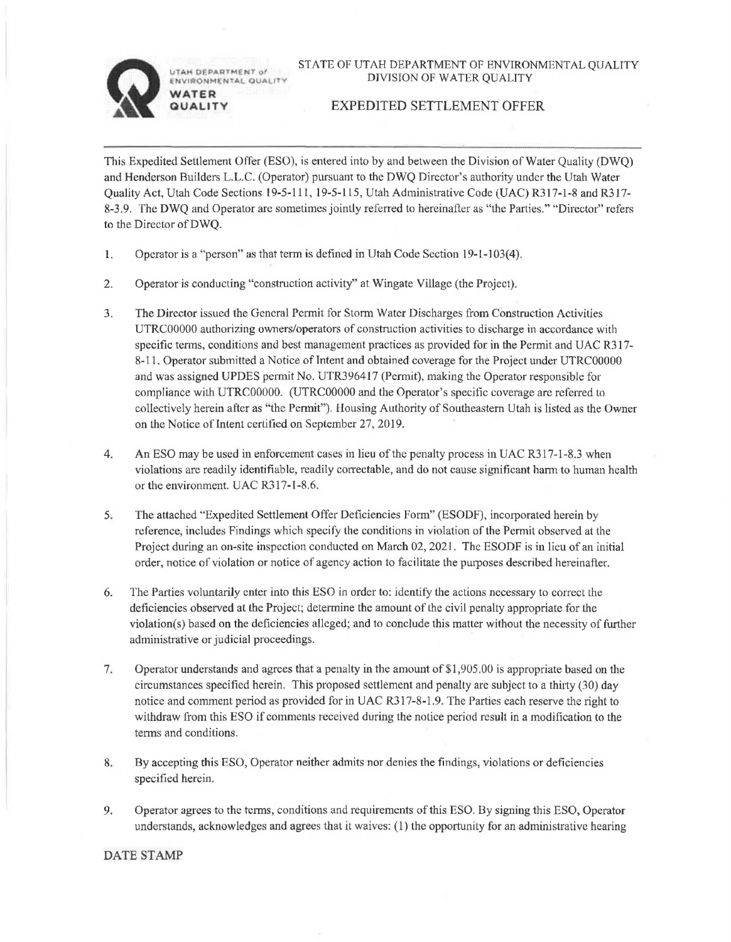**TAH DEPARTMENT of VIAO M** I **1AI. OUA ITV WATER** 

**QUALITY** 

## EXPEDITED SETTLEMENT OFFER

This Expedited Settlement Offer (ESO), is entered into by and between the Division of Water Quality (DWQ) and Henderson Builders L.L.C. (Operator) pursuant to the DWQ Director's authority under the Utah Water Quality Act, Utah Code Sections 19-5-111, 19-5-115, Utah Administrative Code (UAC) R317-l-8 and R317- 8-3.9. The DWQ and Operator are sometimes jointly referred to hereinafter as "the Parties." "Director" refers to the Director ofDWQ.

- 1. Operator is a "person" as that term is defined in Utah Code Section 19-1-103(4).
- 2. Operator is conducting "construction activity" at Wingate Village (the Project).
- 3. The Director issued the General Permit for Storm Water Discharges from Construction Activities UTRC00000 authorizing owners/operators of construction activities to discharge in accordance with specific terms, conditions and best management practices as provided for in the Permit and UAC R317- 8-11. Operator submitted a Notice of Intent and obtained coverage for the Project under UTRC00000 and was assigned UPDES permit No. UTR396417 (Permit), making the Operator responsible for compliance with UTRC0000O. (UTRC00000 and the Operator's specific coverage are referred to collectively herein after as "the Permit"). Housing Authority of Southeastern Utah is listed as the Owner on the Notice of Intent certified on September 27, 2019.
- 4. An ESO may be used in enforcement cases in lieu of the penalty process in UAC R317-l-8.3 when violations are readily identifiable, readily correctable, and do not cause significant harm to human health or the environment. UAC R317-1-8.6.
- 5. The attached "Expedited Settlement Offer Deficiencies Form" (ESODF), incorporated herein by reference, includes Findings which specify the conditions in violation of the Permit observed at the Project during an on-site inspection conducted on March 02, 2021. The ESODF is in lieu of an initial order, notice of violation or notice of agency action to facilitate the purposes described hereinafter.
- 6. The Parties voluntarily enter into this ESQ in order to: identify the actions necessaiy to correct the deficiencies observed at the Project; determine the amount of the civil penalty appropriate for the violation(s) based on the deficiencies alleged; and to conclude this matter without the necessity of further administrative or judicial proceedings.
- 7. Operator understands and agrees that a penalty in the amount of \$1,905.00 is appropriate based on the circumstances specified herein. This proposed settlement and penalty are subject to a thirty (30) day notice and comment period as provided for in UAC R317-8-1.9. The Parties each reserve the right to withdraw from this ESQ if comments received during the notice period result in a modification to the terms and conditions.
- 8. By accepting this ESO, Operator neither admits nor denies the findings, violations or deficiencies specified herein.
- 9. Operator agrees to the terms, conditions and requirements of this ESO. By signing this ESO, Operator understands, acknowledges and agrees that it waives: (1) the opportunity for an administrative hearing

## DATE **STAMP**